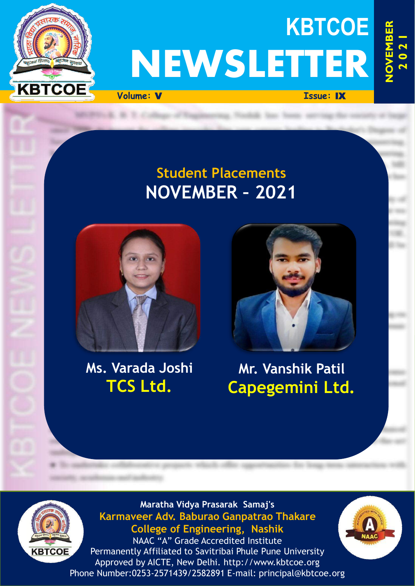

# **KBTCOE NEWSLETTER**

**Volume:** V **Issue:** IX

# **Student Placements NOVEMBER – 2021**



# **Ms. Varada Joshi TCS Ltd.**



# **Mr. Vanshik Patil Capegemini Ltd.**



**Maratha Vidya Prasarak Samaj's Karmaveer Adv. Baburao Ganpatrao Thakare College of Engineering, Nashik**

NAAC "A" Grade Accredited Institute Permanently Affiliated to Savitribai Phule Pune University Approved by AICTE, New Delhi. http://www.kbtcoe.org Phone Number:0253-2571439/2582891 E-mail: principal@kbtcoe.org

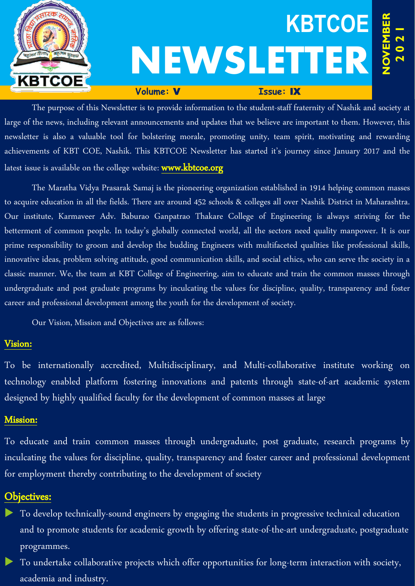

The purpose of this Newsletter is to provide information to the student-staff fraternity of Nashik and society at large of the news, including relevant announcements and updates that we believe are important to them. However, this newsletter is also a valuable tool for bolstering morale, promoting unity, team spirit, motivating and rewarding achievements of KBT COE, Nashik. This KBTCOE Newsletter has started it's journey since January 2017 and the latest issue is available on the college website: www.kbtcoe.org

The Maratha Vidya Prasarak Samaj is the pioneering organization established in 1914 helping common masses to acquire education in all the fields. There are around 452 schools & colleges all over Nashik District in Maharashtra. Our institute, Karmaveer Adv. Baburao Ganpatrao Thakare College of Engineering is always striving for the betterment of common people. In today's globally connected world, all the sectors need quality manpower. It is our prime responsibility to groom and develop the budding Engineers with multifaceted qualities like professional skills, innovative ideas, problem solving attitude, good communication skills, and social ethics, who can serve the society in a classic manner. We, the team at KBT College of Engineering, aim to educate and train the common masses through undergraduate and post graduate programs by inculcating the values for discipline, quality, transparency and foster career and professional development among the youth for the development of society.

Our Vision, Mission and Objectives are as follows:

# Vision:

To be internationally accredited, Multidisciplinary, and Multi-collaborative institute working on technology enabled platform fostering innovations and patents through state-of-art academic system designed by highly qualified faculty for the development of common masses at large

# Mission:

To educate and train common masses through undergraduate, post graduate, research programs by inculcating the values for discipline, quality, transparency and foster career and professional development for employment thereby contributing to the development of society

# Objectives:

- To develop technically-sound engineers by engaging the students in progressive technical education and to promote students for academic growth by offering state-of-the-art undergraduate, postgraduate programmes.
- To undertake collaborative projects which offer opportunities for long-term interaction with society, academia and industry.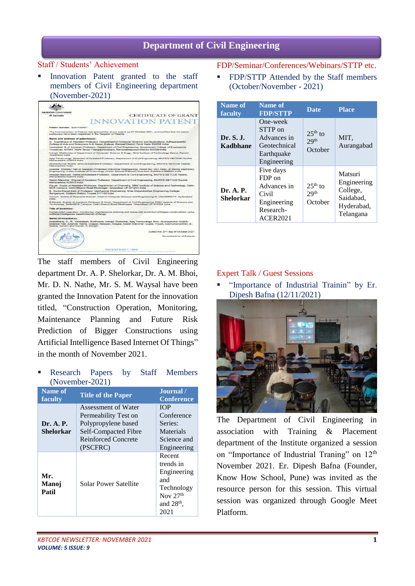# **Department of Civil Engineering**

# Staff / Students' Achievement

Innovation Patent granted to the staff members of Civil Engineering department (November-2021)

| Australian Government                                        |                                                                                                                                                                                                                        |
|--------------------------------------------------------------|------------------------------------------------------------------------------------------------------------------------------------------------------------------------------------------------------------------------|
| <b>IP Againsta</b>                                           | <b>CERTIFICATE OF GRANT</b>                                                                                                                                                                                            |
|                                                              | <b>INNOVATION PATE</b>                                                                                                                                                                                                 |
| Patent number: 2021105451                                    |                                                                                                                                                                                                                        |
| particulars have been negistered in the Register of Patents. | The Commissioner of Palents has granted the above patent on 27 October 2021, and certifies that the below                                                                                                              |
| Name and address of patenteelair.                            |                                                                                                                                                                                                                        |
|                                                              | G. Anandharaj of Assistant Professor, Department of Computer Science and Applications, Adhiparassidni<br>College of Arts and Sciencece G.B. Nagar, Kaleyal, Ranipel District Tarril Nadu 632506 India                  |
|                                                              | Venicatesh B of Assistant Professor, Department of Civil Engineering, Government College of Engineering<br>Tinunelveil, 4/2561. North Street Thangechimadam. Ramanathapuram District 623529 India                      |
| <b>Jingskinged India</b>                                     | indrast Mukheree of Department of Computer Science & Engo. Bris Institute of Technology Means. Ranchi,                                                                                                                 |
| Maharashira 422013 India                                     | Alay Pandurangi: Shelprige of Assistant Professor, Department of Civil Engineering, MVPS'S KBITCOE Nashik                                                                                                              |
| Mahansahira India                                            | Akahaykumar Motilal Bholiof Assistant Professor, Department of Civil Engineering, MVPS'S KBTCCE Nashik.                                                                                                                |
|                                                              | Arianda Sharkar Hall of Assistant Professor (Electrical Engineering), Rocer No.: 203, Dept. of Mining Machinery<br>Engineering, Indian Institute of Technology (Indian School of Mines) Dhanbad Jhankhand 828004 India |
| Mahansahira 422013 India                                     | Deepak Narayan Nathe of Axistatent Professor, Department of Civil Engineering, MVPS'S KBTCOE Nashik.                                                                                                                   |
| Maharashtra 422013 India                                     | Sarksh Mancher Waysel of Assistant Professor, Department of Civil Engineering, MUPS'S KBTCOE Nashk.                                                                                                                    |
|                                                              | Plyush Gupts of Assistant Professor, Department of Cherololry, SRM Institute of Science and Technology. Dalhi-<br>NCR Campus, Defini-Meerut Road Modinager, Ghaziated UP 201204 India                                  |
| Rangampel, Chilboor District Tinupati 517102 India           | D. Sachuthananthan of Profassor, Mechanical Engineering, Soan Vickgritkethan Engineering College.                                                                                                                      |
| India                                                        | Yemam Snehs of Rassach Scholar, Dept of Computer Science and Engineering KL UNIVERSITY, Hydersbad                                                                                                                      |
|                                                              | R.Ranjith Kumar of Assistant Photessor & Head, Department of Civil Engineering, SRM Institute of Science and<br>Technology, Delhi-NCR Campus, Delhi-Meerut Road Modinager, Ghazlabad UP 201204 India                   |
| Title of invention:                                          |                                                                                                                                                                                                                        |
| Artificial-Intelligence based Internet of things:            | Construction specifion, monitoring, maintenance planning and future risk prediction of bigger constructions using                                                                                                      |
| Name of inventorial:                                         |                                                                                                                                                                                                                        |
| Sneha, Yentem and Kumar, R. Ranjith                          | Anandhara), G., B., Venkateah, Mukheyee, Indrajit; Shelorkar, Ajay Pandurangi; Bhol, Akahaykumar Molitai;<br>Sharker Hati, Ananda; Natha, Deepak Narayan; Wayaal, Satah Manchar, Gupta, Piyuah; Sachuthananthan, B.;   |
|                                                              | Donad this 27 <sup>th</sup> day of October 2021                                                                                                                                                                        |
|                                                              | Commissioner of Patents                                                                                                                                                                                                |

The staff members of Civil Engineering department Dr. A. P. Shelorkar, Dr. A. M. Bhoi, Mr. D. N. Nathe, Mr. S. M. Waysal have been granted the Innovation Patent for the innovation titled, "Construction Operation, Monitoring, Maintenance Planning and Future Risk Prediction of Bigger Constructions using Artificial Intelligence Based Internet Of Things" in the month of November 2021.

 Research Papers by Staff Members (November-2021)

| Name of<br>faculty           | <b>Title of the Paper</b>                                                                                                            | Journal /<br><b>Conference</b>                                                                |
|------------------------------|--------------------------------------------------------------------------------------------------------------------------------------|-----------------------------------------------------------------------------------------------|
| Dr. A. P.<br>Shelorkar       | Assessment of Water<br>Permeability Test on<br>Polypropylene based<br>Self-Compacted Fibre<br><b>Reinforced Concrete</b><br>(PSCFRC) | <b>TOP</b><br>Conference<br>Series:<br>Materials<br>Science and<br>Engineering                |
| Mr.<br><b>Manoi</b><br>Patil | Solar Power Satellite                                                                                                                | Recent<br>trends in<br>Engineering<br>and<br>Technology<br>Nov $27th$<br>and $28th$ ,<br>2021 |

## FDP/Seminar/Conferences/Webinars/STTP etc.

 FDP/STTP Attended by the Staff members (October/November - 2021)

| Name of<br>faculty     | Name of<br><b>FDP/STTP</b>                                                                 | <b>Date</b>                              | <b>Place</b>                                                               |
|------------------------|--------------------------------------------------------------------------------------------|------------------------------------------|----------------------------------------------------------------------------|
| Dr. S. J.<br>Kadbhane  | One-week<br>STTP on<br>Advances in<br>Geotechnical<br>Earthquake<br>Engineering            | $25th$ to<br>29 <sup>th</sup><br>October | MIT.<br>Aurangabad                                                         |
| Dr. A. P.<br>Shelorkar | Five days<br>FDP on<br>Advances in<br>Civil<br>Engineering<br>Research-<br><b>ACER2021</b> | $25th$ to<br>29 <sup>th</sup><br>October | Matsuri<br>Engineering<br>College,<br>Saidabad,<br>Hyderabad,<br>Telangana |

# Expert Talk / Guest Sessions

 "Importance of Industrial Trainin" by Er. Dipesh Bafna (12/11/2021)



The Department of Civil Engineering in association with Training & Placement department of the Institute organized a session on "Importance of Industrial Traning" on 12<sup>th</sup> November 2021. Er. Dipesh Bafna (Founder, Know How School, Pune) was invited as the resource person for this session. This virtual session was organized through Google Meet Platform.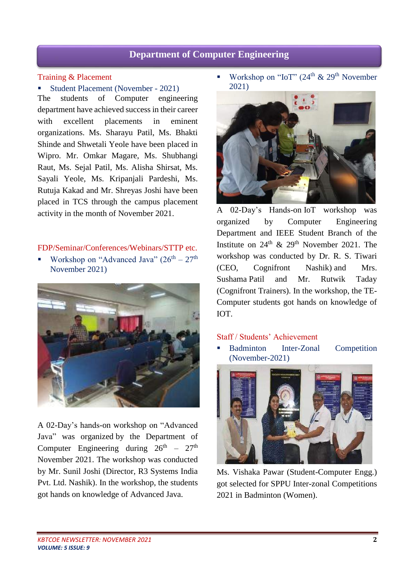# **Department of Computer Engineering**

#### Training & Placement

Student Placement (November - 2021) The students of Computer engineering department have achieved success in their career with excellent placements in eminent organizations. Ms. Sharayu Patil, Ms. Bhakti Shinde and Shwetali Yeole have been placed in Wipro. Mr. Omkar Magare, Ms. Shubhangi Raut, Ms. Sejal Patil, Ms. Alisha Shirsat, Ms. Sayali Yeole, Ms. Kripanjali Pardeshi, Ms. Rutuja Kakad and Mr. Shreyas Joshi have been placed in TCS through the campus placement activity in the month of November 2021.

#### FDP/Seminar/Conferences/Webinars/STTP etc.

Workshop on "Advanced Java"  $(26<sup>th</sup> – 27<sup>th</sup>)$ November 2021)



A 02-Day's hands-on workshop on "Advanced Java" was organized by the Department of Computer Engineering during  $26<sup>th</sup> - 27<sup>th</sup>$ November 2021. The workshop was conducted by Mr. Sunil Joshi (Director, R3 Systems India Pvt. Ltd. Nashik). In the workshop, the students got hands on knowledge of Advanced Java.

Workshop on "IoT" (24<sup>th</sup> & 29<sup>th</sup> November 2021)



A 02-Day's Hands-on IoT workshop was organized by Computer Engineering Department and IEEE Student Branch of the Institute on  $24<sup>th</sup>$  &  $29<sup>th</sup>$  November 2021. The workshop was conducted by Dr. R. S. Tiwari (CEO, Cognifront Nashik) and Mrs. Sushama Patil and Mr. Rutwik Taday (Cognifront Trainers). In the workshop, the TE-Computer students got hands on knowledge of IOT.

## Staff / Students' Achievement

 Badminton Inter-Zonal Competition (November-2021)



Ms. Vishaka Pawar (Student-Computer Engg.) got selected for SPPU Inter-zonal Competitions 2021 in Badminton (Women).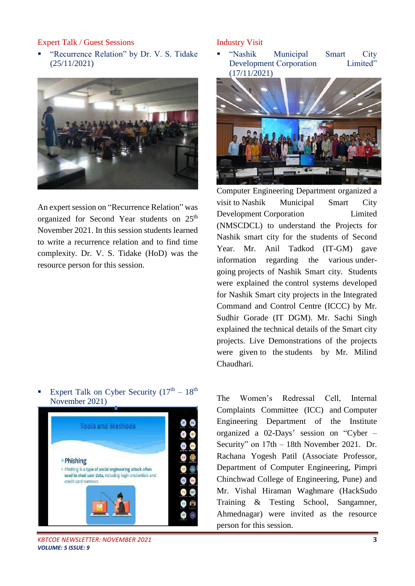# Expert Talk / Guest Sessions

 "Recurrence Relation" by Dr. V. S. Tidake (25/11/2021)



An expert session on "Recurrence Relation" was organized for Second Year students on 25<sup>th</sup> November 2021. In this session students learned to write a recurrence relation and to find time complexity. Dr. V. S. Tidake (HoD) was the resource person for this session.

# Expert Talk on Cyber Security  $(17<sup>th</sup> - 18<sup>th</sup>)$ November 2021)



*KBTCOE NEWSLETTER: NOVEMBER 2021* **3** *VOLUME: 5 ISSUE: 9*

#### Industry Visit

 "Nashik Municipal Smart City Development Corporation Limited" (17/11/2021)



Computer Engineering Department organized a visit to Nashik Municipal Smart City Development Corporation Limited (NMSCDCL) to understand the Projects for Nashik smart city for the students of Second Year. Mr. Anil Tadkod (IT-GM) gave information regarding the various undergoing projects of Nashik Smart city. Students were explained the control systems developed for Nashik Smart city projects in the Integrated Command and Control Centre (ICCC) by Mr. Sudhir Gorade (IT DGM). Mr. Sachi Singh explained the technical details of the Smart city projects. Live Demonstrations of the projects were given to the students by Mr. Milind Chaudhari.

The Women's Redressal Cell, Internal Complaints Committee (ICC) and Computer Engineering Department of the Institute organized a 02-Days' session on "Cyber – Security" on 17th – 18th November 2021. Dr. Rachana Yogesh Patil (Associate Professor, Department of Computer Engineering, Pimpri Chinchwad College of Engineering, Pune) and Mr. Vishal Hiraman Waghmare (HackSudo Training & Testing School, Sangamner, Ahmednagar) were invited as the resource person for this session.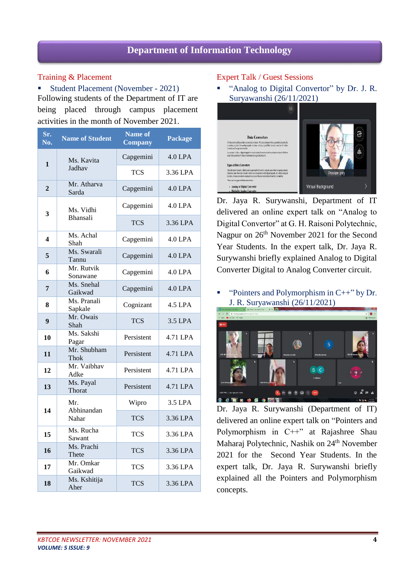# **Department of Information Technology**

# Training & Placement

 Student Placement (November - 2021) Following students of the Department of IT are being placed through campus placement activities in the month of November 2021.

| Sr.<br>No.     | <b>Name of Student</b>       | <b>Name of</b><br><b>Company</b> | <b>Package</b> |
|----------------|------------------------------|----------------------------------|----------------|
| 1              | Ms. Kavita<br>Jadhav         | Capgemini                        | 4.0 LPA        |
|                |                              | <b>TCS</b>                       | 3.36 LPA       |
| $\overline{2}$ | Mr. Atharva<br>Sarda         | Capgemini                        | 4.0 LPA        |
| 3              | Ms. Vidhi<br><b>Bhansali</b> | Capgemini                        | 4.0 LPA        |
|                |                              | <b>TCS</b>                       | 3.36 LPA       |
| 4              | Ms. Achal<br>Shah            | Capgemini                        | $4.0$ LPA      |
| 5              | Ms. Swarali<br>Tannu         | Capgemini                        | 4.0 LPA        |
| 6              | Mr. Rutvik<br>Sonawane       | Capgemini                        | 4.0 LPA        |
| 7              | Ms. Snehal<br>Gaikwad        | Capgemini                        | 4.0 LPA        |
| 8              | Ms. Pranali<br>Sapkale       | Cognizant                        | 4.5 LPA        |
| 9              | Mr. Owais<br>Shah            | <b>TCS</b>                       | 3.5 LPA        |
| 10             | Ms. Sakshi<br>Pagar          | Persistent                       | 4.71 LPA       |
| 11             | Mr. Shubham<br>Thok          | Persistent                       | 4.71 LPA       |
| 12             | Mr. Vaibhav<br>Adke          | Persistent                       | 4.71 LPA       |
| 13             | Ms. Payal<br>Thorat          | Persistent                       | 4.71 LPA       |
| 14             | Mr.<br>Abhinandan<br>Nahar   | Wipro                            | 3.5 LPA        |
|                |                              | <b>TCS</b>                       | 3.36 LPA       |
| 15             | Ms. Rucha<br>Sawant          | <b>TCS</b>                       | 3.36 LPA       |
| 16             | Ms. Prachi<br>Thete          | <b>TCS</b>                       | 3.36 LPA       |
| 17             | Mr. Omkar<br>Gaikwad         | <b>TCS</b>                       | 3.36 LPA       |
| 18             | Ms. Kshitija<br>Aher         | <b>TCS</b>                       | 3.36 LPA       |

# Expert Talk / Guest Sessions

■ "Analog to Digital Convertor" by Dr. J. R. Suryawanshi (26/11/2021)



Dr. Jaya R. Surywanshi, Department of IT delivered an online expert talk on "Analog to Digital Convertor" at G. H. Raisoni Polytechnic, Nagpur on  $26<sup>th</sup>$  November 2021 for the Second Year Students. In the expert talk, Dr. Jaya R. Surywanshi briefly explained Analog to Digital Converter Digital to Analog Converter circuit.

 "Pointers and Polymorphism in C++" by Dr. J. R. Suryawanshi (26/11/2021)



Dr. Jaya R. Surywanshi (Department of IT) delivered an online expert talk on "Pointers and Polymorphism in C++" at Rajashree Shau Maharaj Polytechnic, Nashik on 24<sup>th</sup> November 2021 for the Second Year Students. In the expert talk, Dr. Jaya R. Surywanshi briefly explained all the Pointers and Polymorphism concepts.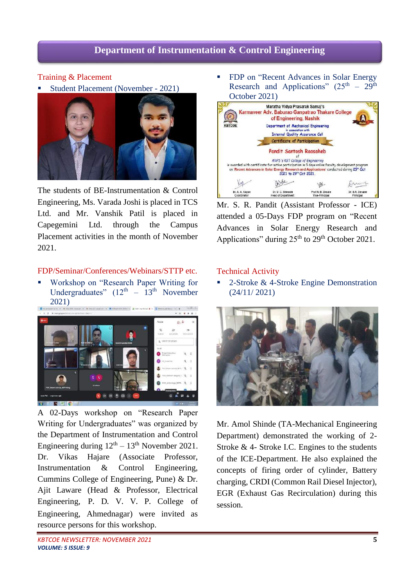# **Department of Instrumentation & Control Engineering**

## Training & Placement

Student Placement (November - 2021)



The students of BE-Instrumentation & Control Engineering, Ms. Varada Joshi is placed in TCS Ltd. and Mr. Vanshik Patil is placed in Capegemini Ltd. through the Campus Placement activities in the month of November 2021.

#### FDP/Seminar/Conferences/Webinars/STTP etc.

 Workshop on "Research Paper Writing for Undergraduates"  $(12<sup>th</sup> - 13<sup>th</sup>$  November 2021)



A 02-Days workshop on "Research Paper Writing for Undergraduates" was organized by the Department of Instrumentation and Control Engineering during  $12<sup>th</sup> - 13<sup>th</sup>$  November 2021. Dr. Vikas Hajare (Associate Professor, Instrumentation & Control Engineering, Cummins College of Engineering, Pune) & Dr. Ajit Laware (Head & Professor, Electrical Engineering, P**.** D**.** V**.** V**.** P**.** College of Engineering, Ahmednagar) were invited as resource persons for this workshop.

**FDP** on "Recent Advances in Solar Energy Research and Applications"  $(25<sup>th</sup> - 29<sup>th</sup>)$ October 2021)



Mr. S. R. Pandit (Assistant Professor - ICE) attended a 05-Days FDP program on "Recent Advances in Solar Energy Research and Applications" during  $25<sup>th</sup>$  to  $29<sup>th</sup>$  October 2021.

#### Technical Activity

 2-Stroke & 4-Stroke Engine Demonstration (24/11/ 2021)



Mr. Amol Shinde (TA-Mechanical Engineering Department) demonstrated the working of 2- Stroke & 4- Stroke I.C. Engines to the students of the ICE-Department. He also explained the concepts of firing order of cylinder, Battery charging, CRDI (Common Rail Diesel Injector), EGR (Exhaust Gas Recirculation) during this session.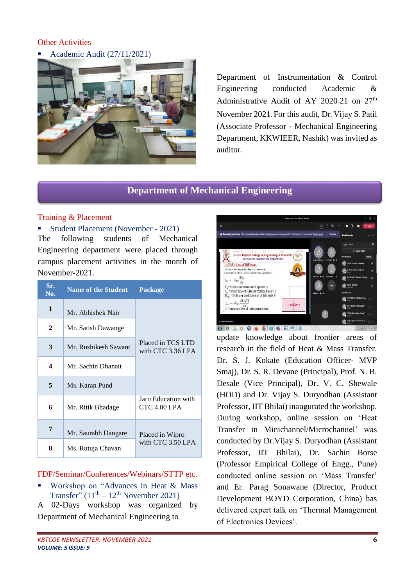# **Other Activities**

Academic Audit (27/11/2021)



Department of Instrumentation & Control Engineering conducted Academic & Administrative Audit of AY 2020-21 on 27<sup>th</sup> November 2021. For this audit, Dr. Vijay S. Patil (Associate Professor - Mechanical Engineering Department, KKWIEER, Nashik) was invited as auditor**.**

# **Department of Mechanical Engineering**

# Training & Placement

#### Student Placement (November - 2021)

The following students of Mechanical Engineering department were placed through campus placement activities in the month of November-2021.

| Sr.<br>No.   | <b>Name of the Student</b> | Package                                |  |
|--------------|----------------------------|----------------------------------------|--|
| $\mathbf{1}$ | Mr. Abhishek Nair          |                                        |  |
| 2            | Mr. Satish Dawange         |                                        |  |
| 3            | Mr. Rushikesh Sawant       | Placed in TCS LTD<br>with CTC 3.36 LPA |  |
| 4            | Mr. Sachin Dhanait         |                                        |  |
| 5            | Ms. Karan Pund             |                                        |  |
| 6            | Mr. Ritik Bhadage          | Jaro Education with<br>$CTC 4.00$ LPA  |  |
| 7            | Mr. Saurabh Dangare        | Placed in Wipro<br>with CTC 3.50 LPA   |  |
| 8            | Ms. Rutuja Chavan          |                                        |  |

### FDP/Seminar/Conferences/Webinars/STTP etc.

 Workshop on "Advances in Heat & Mass Transfer"  $(11<sup>th</sup> – 12<sup>th</sup>$  November 2021)

A 02-Days workshop was organized by Department of Mechanical Engineering to



**JSPM's Imperial College of Engineering & Re**<br>Mechanical Engineering Department

1.6 Fick's Law of Diffusion:

Dr. S. J. Kokate (Education Officer- MVP Smaj), Dr. S. R. Devane (Principal), Prof. N. B. Desale (Vice Principal), Dr. V. C. Shewale (HOD) and Dr. Vijay S. Duryodhan (Assistant Professor, IIT Bhilai) inaugurated the workshop. During workshop, online session on 'Heat Transfer in Minichannel/Microchannel' was conducted by Dr.Vijay S. Duryodhan (Assistant Professor, IIT Bhilai), Dr. Sachin Borse (Professor Empirical College of Engg., Pune) conducted online session on 'Mass Transfer' and Er. Parag Sonawane (Director, Product Development BOYD Corporation, China) has delivered expert talk on 'Thermal Management of Electronics Devices'.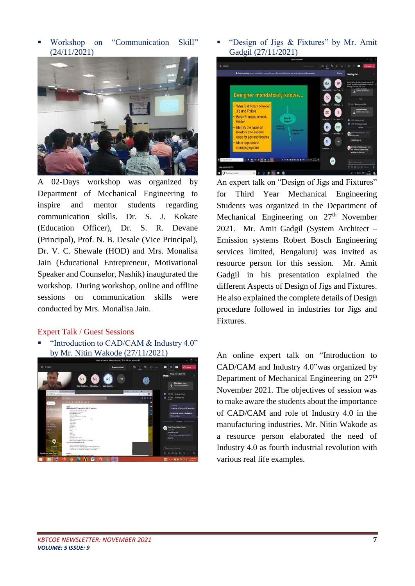Workshop on "Communication Skill" (24/11/2021)



A 02-Days workshop was organized by Department of Mechanical Engineering to inspire and mentor students regarding communication skills. Dr. S. J. Kokate (Education Officer), Dr. S. R. Devane (Principal), Prof. N. B. Desale (Vice Principal), Dr. V. C. Shewale (HOD) and Mrs. Monalisa Jain (Educational Entrepreneur, Motivational Speaker and Counselor, Nashik) inaugurated the workshop. During workshop, online and offline sessions on communication skills were conducted by Mrs. Monalisa Jain.

#### Expert Talk / Guest Sessions

 "Introduction to CAD/CAM & Industry 4.0" by Mr. Nitin Wakode (27/11/2021)



 "Design of Jigs & Fixtures" by Mr. Amit Gadgil (27/11/2021)



An expert talk on "Design of Jigs and Fixtures" for Third Year Mechanical Engineering Students was organized in the Department of Mechanical Engineering on  $27<sup>th</sup>$  November 2021. Mr. Amit Gadgil (System Architect – Emission systems Robert Bosch Engineering services limited, Bengaluru) was invited as resource person for this session. Mr. Amit Gadgil in his presentation explained the different Aspects of Design of Jigs and Fixtures. He also explained the complete details of Design procedure followed in industries for Jigs and Fixtures.

An online expert talk on "Introduction to CAD/CAM and Industry 4.0"was organized by Department of Mechanical Engineering on 27<sup>th</sup> November 2021. The objectives of session was to make aware the students about the importance of CAD/CAM and role of Industry 4.0 in the manufacturing industries. Mr. Nitin Wakode as a resource person elaborated the need of Industry 4.0 as fourth industrial revolution with various real life examples.